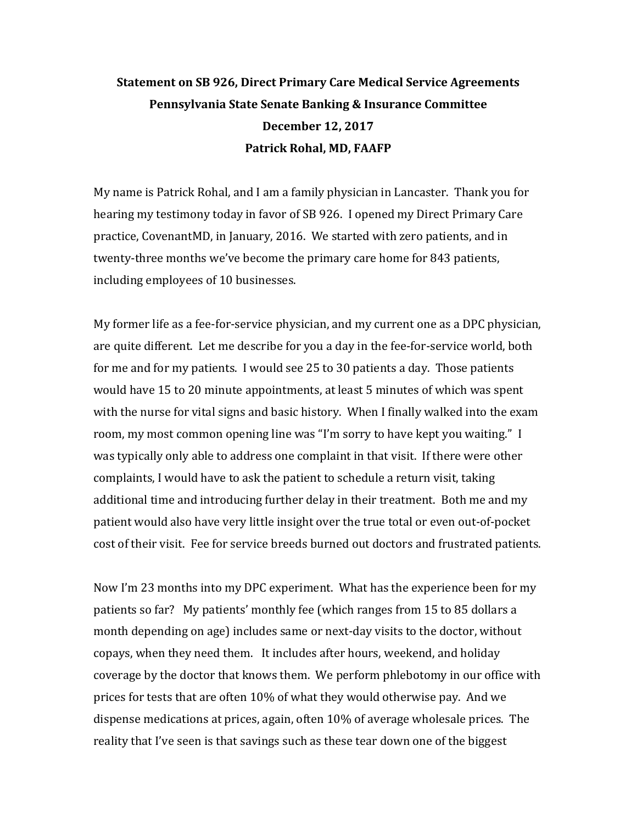## **Statement on SB 926, Direct Primary Care Medical Service Agreements Pennsylvania State Senate Banking & Insurance Committee December 12, 2017 Patrick Rohal, MD, FAAFP**

My name is Patrick Rohal, and I am a family physician in Lancaster. Thank you for hearing my testimony today in favor of SB 926. I opened my Direct Primary Care practice, CovenantMD, in January, 2016. We started with zero patients, and in twenty-three months we've become the primary care home for 843 patients, including employees of 10 businesses.

My former life as a fee-for-service physician, and my current one as a DPC physician, are quite different. Let me describe for you a day in the fee-for-service world, both for me and for my patients. I would see 25 to 30 patients a day. Those patients would have 15 to 20 minute appointments, at least 5 minutes of which was spent with the nurse for vital signs and basic history. When I finally walked into the exam room, my most common opening line was "I'm sorry to have kept you waiting." I was typically only able to address one complaint in that visit. If there were other complaints, I would have to ask the patient to schedule a return visit, taking additional time and introducing further delay in their treatment. Both me and my patient would also have very little insight over the true total or even out-of-pocket cost of their visit. Fee for service breeds burned out doctors and frustrated patients.

Now I'm 23 months into my DPC experiment. What has the experience been for my patients so far? My patients' monthly fee (which ranges from 15 to 85 dollars a month depending on age) includes same or next-day visits to the doctor, without copays, when they need them. It includes after hours, weekend, and holiday coverage by the doctor that knows them. We perform phlebotomy in our office with prices for tests that are often 10% of what they would otherwise pay. And we dispense medications at prices, again, often 10% of average wholesale prices. The reality that I've seen is that savings such as these tear down one of the biggest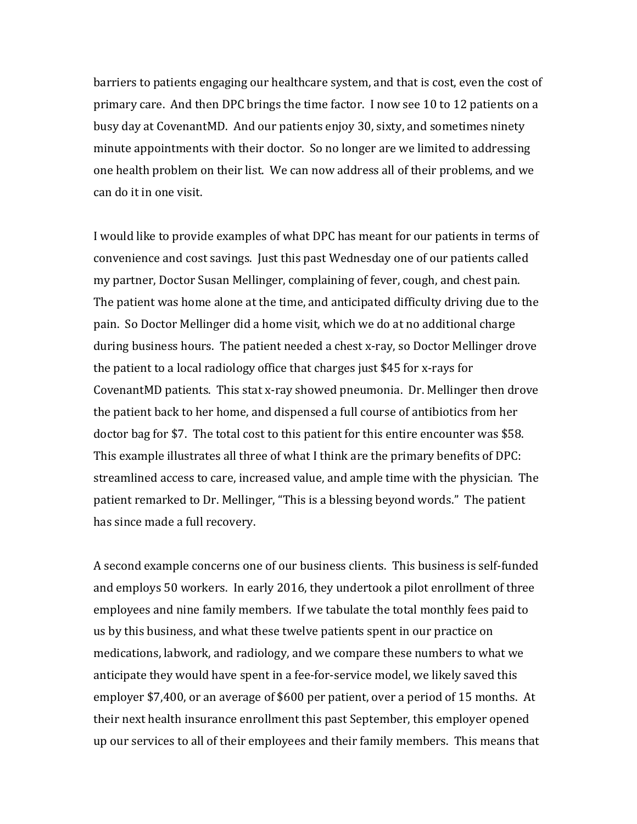barriers to patients engaging our healthcare system, and that is cost, even the cost of primary care. And then DPC brings the time factor. I now see 10 to 12 patients on a busy day at CovenantMD. And our patients enjoy 30, sixty, and sometimes ninety minute appointments with their doctor. So no longer are we limited to addressing one health problem on their list. We can now address all of their problems, and we can do it in one visit.

I would like to provide examples of what DPC has meant for our patients in terms of convenience and cost savings. Just this past Wednesday one of our patients called my partner, Doctor Susan Mellinger, complaining of fever, cough, and chest pain. The patient was home alone at the time, and anticipated difficulty driving due to the pain. So Doctor Mellinger did a home visit, which we do at no additional charge during business hours. The patient needed a chest x-ray, so Doctor Mellinger drove the patient to a local radiology office that charges just \$45 for x-rays for CovenantMD patients. This stat x-ray showed pneumonia. Dr. Mellinger then drove the patient back to her home, and dispensed a full course of antibiotics from her doctor bag for \$7. The total cost to this patient for this entire encounter was \$58. This example illustrates all three of what I think are the primary benefits of DPC: streamlined access to care, increased value, and ample time with the physician. The patient remarked to Dr. Mellinger, "This is a blessing beyond words." The patient has since made a full recovery.

A second example concerns one of our business clients. This business is self-funded and employs 50 workers. In early 2016, they undertook a pilot enrollment of three employees and nine family members. If we tabulate the total monthly fees paid to us by this business, and what these twelve patients spent in our practice on medications, labwork, and radiology, and we compare these numbers to what we anticipate they would have spent in a fee-for-service model, we likely saved this employer \$7,400, or an average of \$600 per patient, over a period of 15 months. At their next health insurance enrollment this past September, this employer opened up our services to all of their employees and their family members. This means that